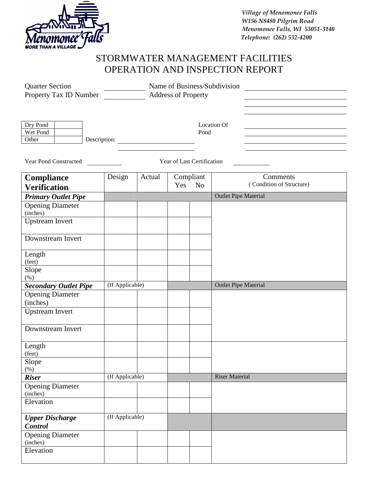

 *Village of Menomonee Falls W156 N8480 Pilgrim Road Menomonee Falls, WI 53051-3140 Telephone: (262) 532-4200*

## STORMWATER MANAGEMENT FACILITIES OPERATION AND INSPECTION REPORT

| <b>Quarter Section</b>                                     | Name of Business/Subdivision |        |                       |           |                             |                          |  |  |  |
|------------------------------------------------------------|------------------------------|--------|-----------------------|-----------|-----------------------------|--------------------------|--|--|--|
| Property Tax ID Number                                     | <b>Address of Property</b>   |        |                       |           |                             |                          |  |  |  |
|                                                            |                              |        |                       |           |                             |                          |  |  |  |
|                                                            |                              |        |                       |           |                             |                          |  |  |  |
| Dry Pond                                                   |                              |        |                       |           | <b>Location Of</b>          |                          |  |  |  |
| Wet Pond                                                   |                              |        |                       | Pond      |                             |                          |  |  |  |
| Other                                                      |                              |        |                       |           |                             |                          |  |  |  |
|                                                            |                              |        |                       |           |                             |                          |  |  |  |
| <b>Year Pond Constructed</b><br>Year of Last Certification |                              |        |                       |           |                             |                          |  |  |  |
| <b>Compliance</b>                                          | Design                       | Actual |                       | Compliant |                             | Comments                 |  |  |  |
| <b>Verification</b>                                        |                              |        | Yes<br>N <sub>o</sub> |           |                             | (Condition of Structure) |  |  |  |
| <b>Primary Outlet Pipe</b>                                 |                              |        |                       |           | <b>Outlet Pipe Material</b> |                          |  |  |  |
| <b>Opening Diameter</b>                                    |                              |        |                       |           |                             |                          |  |  |  |
| (inches)                                                   |                              |        |                       |           |                             |                          |  |  |  |
| Upstream Invert                                            |                              |        |                       |           |                             |                          |  |  |  |
|                                                            |                              |        |                       |           |                             |                          |  |  |  |
| Downstream Invert                                          |                              |        |                       |           |                             |                          |  |  |  |
| Length                                                     |                              |        |                       |           |                             |                          |  |  |  |
| (feet)                                                     |                              |        |                       |           |                             |                          |  |  |  |
| Slope                                                      |                              |        |                       |           |                             |                          |  |  |  |
| $(\%)$                                                     |                              |        |                       |           |                             |                          |  |  |  |
| <b>Secondary Outlet Pipe</b>                               | (If Applicable)              |        |                       |           | <b>Outlet Pipe Material</b> |                          |  |  |  |
| <b>Opening Diameter</b>                                    |                              |        |                       |           |                             |                          |  |  |  |
| (inches)                                                   |                              |        |                       |           |                             |                          |  |  |  |
| <b>Upstream Invert</b>                                     |                              |        |                       |           |                             |                          |  |  |  |
| Downstream Invert                                          |                              |        |                       |           |                             |                          |  |  |  |
| Length<br>(feet)                                           |                              |        |                       |           |                             |                          |  |  |  |
| Slope                                                      |                              |        |                       |           |                             |                          |  |  |  |
| $(\%)$                                                     |                              |        |                       |           |                             |                          |  |  |  |
| <b>Riser</b>                                               | (If Applicable)              |        |                       |           | <b>Riser Material</b>       |                          |  |  |  |
| <b>Opening Diameter</b>                                    |                              |        |                       |           |                             |                          |  |  |  |
| (inches)                                                   |                              |        |                       |           |                             |                          |  |  |  |
| Elevation                                                  |                              |        |                       |           |                             |                          |  |  |  |
| <b>Upper Discharge</b><br><b>Control</b>                   | (If Applicable)              |        |                       |           |                             |                          |  |  |  |
| <b>Opening Diameter</b>                                    |                              |        |                       |           |                             |                          |  |  |  |
| (inches)                                                   |                              |        |                       |           |                             |                          |  |  |  |
| Elevation                                                  |                              |        |                       |           |                             |                          |  |  |  |
|                                                            |                              |        |                       |           |                             |                          |  |  |  |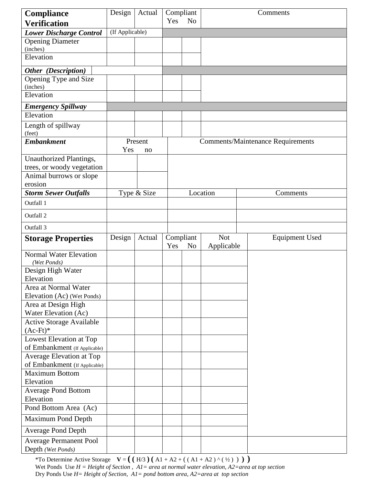| <b>Compliance</b>                                          | Design          | Actual    |                                          | Compliant      |            | Comments              |  |  |
|------------------------------------------------------------|-----------------|-----------|------------------------------------------|----------------|------------|-----------------------|--|--|
| <b>Verification</b>                                        |                 |           | Yes                                      | N <sub>o</sub> |            |                       |  |  |
| <b>Lower Discharge Control</b>                             | (If Applicable) |           |                                          |                |            |                       |  |  |
| <b>Opening Diameter</b>                                    |                 |           |                                          |                |            |                       |  |  |
| (inches)                                                   |                 |           |                                          |                |            |                       |  |  |
| Elevation                                                  |                 |           |                                          |                |            |                       |  |  |
| Other (Description)                                        |                 |           |                                          |                |            |                       |  |  |
| Opening Type and Size                                      |                 |           |                                          |                |            |                       |  |  |
| (inches)                                                   |                 |           |                                          |                |            |                       |  |  |
| Elevation                                                  |                 |           |                                          |                |            |                       |  |  |
| <b>Emergency Spillway</b>                                  |                 |           |                                          |                |            |                       |  |  |
| Elevation                                                  |                 |           |                                          |                |            |                       |  |  |
| Length of spillway<br>(feet)                               |                 |           |                                          |                |            |                       |  |  |
| <b>Embankment</b>                                          |                 | Present   | <b>Comments/Maintenance Requirements</b> |                |            |                       |  |  |
|                                                            |                 | Yes<br>no |                                          |                |            |                       |  |  |
| Unauthorized Plantings,<br>trees, or woody vegetation      |                 |           |                                          |                |            |                       |  |  |
| Animal burrows or slope                                    |                 |           |                                          |                |            |                       |  |  |
| erosion                                                    |                 |           |                                          |                |            |                       |  |  |
| <b>Storm Sewer Outfalls</b>                                | Type & Size     |           |                                          | Location       |            | Comments              |  |  |
| Outfall 1                                                  |                 |           |                                          |                |            |                       |  |  |
| Outfall 2                                                  |                 |           |                                          |                |            |                       |  |  |
| Outfall 3                                                  |                 |           |                                          |                |            |                       |  |  |
|                                                            |                 |           |                                          |                | <b>Not</b> |                       |  |  |
|                                                            |                 |           |                                          |                |            |                       |  |  |
| <b>Storage Properties</b>                                  | Design          | Actual    | Compliant<br>Yes                         | N <sub>o</sub> | Applicable | <b>Equipment Used</b> |  |  |
| <b>Normal Water Elevation</b><br>(Wet Ponds)               |                 |           |                                          |                |            |                       |  |  |
| Design High Water                                          |                 |           |                                          |                |            |                       |  |  |
| Elevation                                                  |                 |           |                                          |                |            |                       |  |  |
| Area at Normal Water                                       |                 |           |                                          |                |            |                       |  |  |
| Elevation (Ac) (Wet Ponds)                                 |                 |           |                                          |                |            |                       |  |  |
| Area at Design High                                        |                 |           |                                          |                |            |                       |  |  |
| Water Elevation (Ac)                                       |                 |           |                                          |                |            |                       |  |  |
| <b>Active Storage Available</b>                            |                 |           |                                          |                |            |                       |  |  |
| $(Ac-Ft)*$                                                 |                 |           |                                          |                |            |                       |  |  |
| Lowest Elevation at Top<br>of Embankment (If Applicable)   |                 |           |                                          |                |            |                       |  |  |
| Average Elevation at Top                                   |                 |           |                                          |                |            |                       |  |  |
| of Embankment (If Applicable)                              |                 |           |                                          |                |            |                       |  |  |
| <b>Maximum Bottom</b>                                      |                 |           |                                          |                |            |                       |  |  |
| Elevation                                                  |                 |           |                                          |                |            |                       |  |  |
| <b>Average Pond Bottom</b>                                 |                 |           |                                          |                |            |                       |  |  |
| Elevation                                                  |                 |           |                                          |                |            |                       |  |  |
| Pond Bottom Area (Ac)                                      |                 |           |                                          |                |            |                       |  |  |
| Maximum Pond Depth                                         |                 |           |                                          |                |            |                       |  |  |
| <b>Average Pond Depth</b><br><b>Average Permanent Pool</b> |                 |           |                                          |                |            |                       |  |  |

\*To Determine Active Storage  $V = ((H/3) (A1 + A2 + ((A1 + A2) (4y))))$ Wet Ponds Use *H = Height of Section* , *A1= area at normal water elevation, A2=area at top section*  Dry Ponds Use *H= Height of Section, A1= pond bottom area, A2=area at top section*